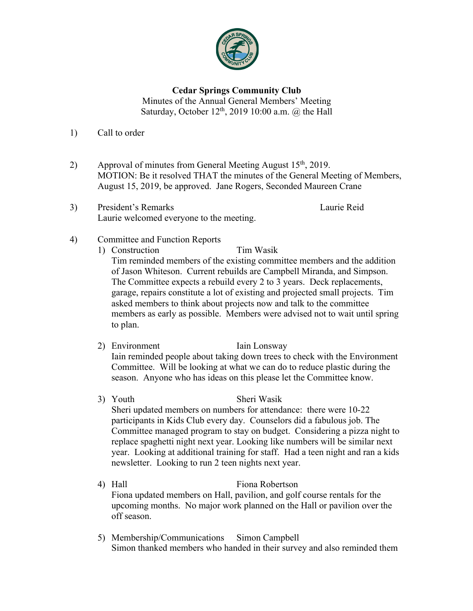

## **Cedar Springs Community Club**

Minutes of the Annual General Members' Meeting Saturday, October  $12<sup>th</sup>$ , 2019 10:00 a.m.  $@$  the Hall

- 1) Call to order
- 2) Approval of minutes from General Meeting August  $15<sup>th</sup>$ , 2019. MOTION: Be it resolved THAT the minutes of the General Meeting of Members, August 15, 2019, be approved. Jane Rogers, Seconded Maureen Crane
- 3) President's Remarks Laurie Reid Laurie welcomed everyone to the meeting.

- 4) Committee and Function Reports
	- 1) Construction Tim Wasik

Tim reminded members of the existing committee members and the addition of Jason Whiteson. Current rebuilds are Campbell Miranda, and Simpson. The Committee expects a rebuild every 2 to 3 years. Deck replacements, garage, repairs constitute a lot of existing and projected small projects. Tim asked members to think about projects now and talk to the committee members as early as possible. Members were advised not to wait until spring to plan.

- 2) Environment Iain Lonsway Iain reminded people about taking down trees to check with the Environment Committee. Will be looking at what we can do to reduce plastic during the season. Anyone who has ideas on this please let the Committee know.
- 3) Youth Sheri Wasik Sheri updated members on numbers for attendance: there were 10-22 participants in Kids Club every day. Counselors did a fabulous job. The Committee managed program to stay on budget. Considering a pizza night to replace spaghetti night next year. Looking like numbers will be similar next year. Looking at additional training for staff. Had a teen night and ran a kids newsletter. Looking to run 2 teen nights next year.
- 4) Hall Fiona Robertson Fiona updated members on Hall, pavilion, and golf course rentals for the upcoming months. No major work planned on the Hall or pavilion over the off season.
- 5) Membership/Communications Simon Campbell Simon thanked members who handed in their survey and also reminded them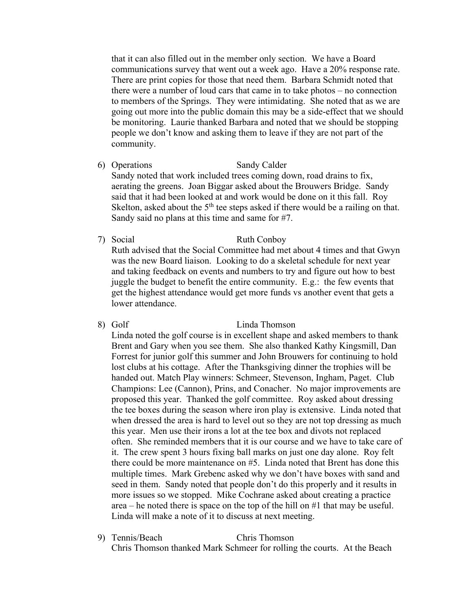that it can also filled out in the member only section. We have a Board communications survey that went out a week ago. Have a 20% response rate. There are print copies for those that need them. Barbara Schmidt noted that there were a number of loud cars that came in to take photos – no connection to members of the Springs. They were intimidating. She noted that as we are going out more into the public domain this may be a side-effect that we should be monitoring. Laurie thanked Barbara and noted that we should be stopping people we don't know and asking them to leave if they are not part of the community.

6) Operations Sandy Calder Sandy noted that work included trees coming down, road drains to fix, aerating the greens. Joan Biggar asked about the Brouwers Bridge. Sandy said that it had been looked at and work would be done on it this fall. Roy Skelton, asked about the  $5<sup>th</sup>$  tee steps asked if there would be a railing on that.

Sandy said no plans at this time and same for #7.

- 7) Social Ruth Conboy Ruth advised that the Social Committee had met about 4 times and that Gwyn was the new Board liaison. Looking to do a skeletal schedule for next year and taking feedback on events and numbers to try and figure out how to best juggle the budget to benefit the entire community. E.g.: the few events that get the highest attendance would get more funds vs another event that gets a lower attendance.
- 8) Golf Linda Thomson Linda noted the golf course is in excellent shape and asked members to thank Brent and Gary when you see them. She also thanked Kathy Kingsmill, Dan Forrest for junior golf this summer and John Brouwers for continuing to hold lost clubs at his cottage. After the Thanksgiving dinner the trophies will be handed out. Match Play winners: Schmeer, Stevenson, Ingham, Paget. Club Champions: Lee (Cannon), Prins, and Conacher. No major improvements are proposed this year. Thanked the golf committee. Roy asked about dressing the tee boxes during the season where iron play is extensive. Linda noted that when dressed the area is hard to level out so they are not top dressing as much this year. Men use their irons a lot at the tee box and divots not replaced often. She reminded members that it is our course and we have to take care of it. The crew spent 3 hours fixing ball marks on just one day alone. Roy felt there could be more maintenance on #5. Linda noted that Brent has done this multiple times. Mark Grebenc asked why we don't have boxes with sand and seed in them. Sandy noted that people don't do this properly and it results in more issues so we stopped. Mike Cochrane asked about creating a practice area – he noted there is space on the top of the hill on #1 that may be useful. Linda will make a note of it to discuss at next meeting.
- 9) Tennis/Beach Chris Thomson Chris Thomson thanked Mark Schmeer for rolling the courts. At the Beach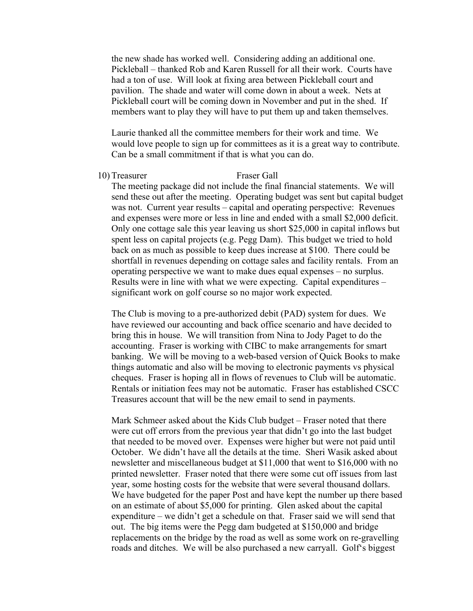the new shade has worked well. Considering adding an additional one. Pickleball – thanked Rob and Karen Russell for all their work. Courts have had a ton of use. Will look at fixing area between Pickleball court and pavilion. The shade and water will come down in about a week. Nets at Pickleball court will be coming down in November and put in the shed. If members want to play they will have to put them up and taken themselves.

Laurie thanked all the committee members for their work and time. We would love people to sign up for committees as it is a great way to contribute. Can be a small commitment if that is what you can do.

## 10) Treasurer Fraser Gall

The meeting package did not include the final financial statements. We will send these out after the meeting. Operating budget was sent but capital budget was not. Current year results – capital and operating perspective: Revenues and expenses were more or less in line and ended with a small \$2,000 deficit. Only one cottage sale this year leaving us short \$25,000 in capital inflows but spent less on capital projects (e.g. Pegg Dam). This budget we tried to hold back on as much as possible to keep dues increase at \$100. There could be shortfall in revenues depending on cottage sales and facility rentals. From an operating perspective we want to make dues equal expenses – no surplus. Results were in line with what we were expecting. Capital expenditures – significant work on golf course so no major work expected.

The Club is moving to a pre-authorized debit (PAD) system for dues. We have reviewed our accounting and back office scenario and have decided to bring this in house. We will transition from Nina to Jody Paget to do the accounting. Fraser is working with CIBC to make arrangements for smart banking. We will be moving to a web-based version of Quick Books to make things automatic and also will be moving to electronic payments vs physical cheques. Fraser is hoping all in flows of revenues to Club will be automatic. Rentals or initiation fees may not be automatic. Fraser has established CSCC Treasures account that will be the new email to send in payments.

Mark Schmeer asked about the Kids Club budget – Fraser noted that there were cut off errors from the previous year that didn't go into the last budget that needed to be moved over. Expenses were higher but were not paid until October. We didn't have all the details at the time. Sheri Wasik asked about newsletter and miscellaneous budget at \$11,000 that went to \$16,000 with no printed newsletter. Fraser noted that there were some cut off issues from last year, some hosting costs for the website that were several thousand dollars. We have budgeted for the paper Post and have kept the number up there based on an estimate of about \$5,000 for printing. Glen asked about the capital expenditure – we didn't get a schedule on that. Fraser said we will send that out. The big items were the Pegg dam budgeted at \$150,000 and bridge replacements on the bridge by the road as well as some work on re-gravelling roads and ditches. We will be also purchased a new carryall. Golf's biggest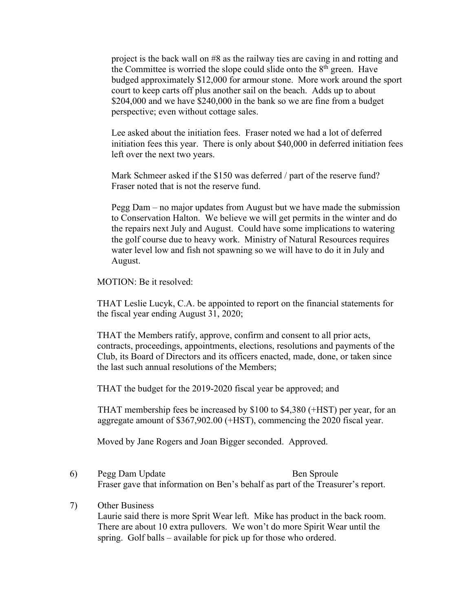project is the back wall on #8 as the railway ties are caving in and rotting and the Committee is worried the slope could slide onto the  $8<sup>th</sup>$  green. Have budged approximately \$12,000 for armour stone. More work around the sport court to keep carts off plus another sail on the beach. Adds up to about \$204,000 and we have \$240,000 in the bank so we are fine from a budget perspective; even without cottage sales.

Lee asked about the initiation fees. Fraser noted we had a lot of deferred initiation fees this year. There is only about \$40,000 in deferred initiation fees left over the next two years.

Mark Schmeer asked if the \$150 was deferred / part of the reserve fund? Fraser noted that is not the reserve fund.

Pegg Dam – no major updates from August but we have made the submission to Conservation Halton. We believe we will get permits in the winter and do the repairs next July and August. Could have some implications to watering the golf course due to heavy work. Ministry of Natural Resources requires water level low and fish not spawning so we will have to do it in July and August.

MOTION: Be it resolved:

THAT Leslie Lucyk, C.A. be appointed to report on the financial statements for the fiscal year ending August 31, 2020;

THAT the Members ratify, approve, confirm and consent to all prior acts, contracts, proceedings, appointments, elections, resolutions and payments of the Club, its Board of Directors and its officers enacted, made, done, or taken since the last such annual resolutions of the Members;

THAT the budget for the 2019-2020 fiscal year be approved; and

THAT membership fees be increased by \$100 to \$4,380 (+HST) per year, for an aggregate amount of \$367,902.00 (+HST), commencing the 2020 fiscal year.

Moved by Jane Rogers and Joan Bigger seconded. Approved.

6) Pegg Dam Update Ben Sproule Fraser gave that information on Ben's behalf as part of the Treasurer's report.

## 7) Other Business

Laurie said there is more Sprit Wear left. Mike has product in the back room. There are about 10 extra pullovers. We won't do more Spirit Wear until the spring. Golf balls – available for pick up for those who ordered.